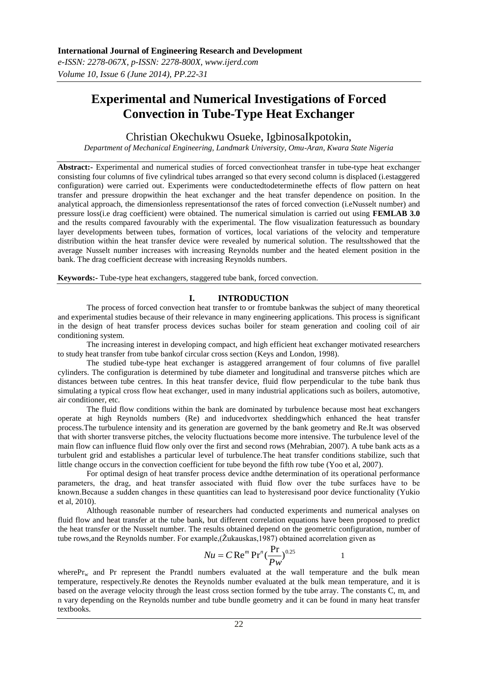*e-ISSN: 2278-067X, p-ISSN: 2278-800X, www.ijerd.com Volume 10, Issue 6 (June 2014), PP.22-31*

# **Experimental and Numerical Investigations of Forced Convection in Tube-Type Heat Exchanger**

Christian Okechukwu Osueke, IgbinosaIkpotokin,

*Department of Mechanical Engineering, Landmark University, Omu-Aran, Kwara State Nigeria*

**Abstract:-** Experimental and numerical studies of forced convectionheat transfer in tube-type heat exchanger consisting four columns of five cylindrical tubes arranged so that every second column is displaced (i.estaggered configuration) were carried out. Experiments were conductedtodeterminethe effects of flow pattern on heat transfer and pressure dropwithin the heat exchanger and the heat transfer dependence on position. In the analytical approach, the dimensionless representationsof the rates of forced convection (i.eNusselt number) and pressure loss(i.e drag coefficient) were obtained. The numerical simulation is carried out using **FEMLAB 3.0** and the results compared favourably with the experimental. The flow visualization featuressuch as boundary layer developments between tubes, formation of vortices, local variations of the velocity and temperature distribution within the heat transfer device were revealed by numerical solution. The resultsshowed that the average Nusselt number increases with increasing Reynolds number and the heated element position in the bank. The drag coefficient decrease with increasing Reynolds numbers.

**Keywords:-** Tube-type heat exchangers, staggered tube bank, forced convection.

# **I. INTRODUCTION**

The process of forced convection heat transfer to or fromtube bankwas the subject of many theoretical and experimental studies because of their relevance in many engineering applications. This process is significant in the design of heat transfer process devices suchas boiler for steam generation and cooling coil of air conditioning system.

The increasing interest in developing compact, and high efficient heat exchanger motivated researchers to study heat transfer from tube bankof circular cross section (Keys and London, 1998).

The studied tube-type heat exchanger is astaggered arrangement of four columns of five parallel cylinders. The configuration is determined by tube diameter and longitudinal and transverse pitches which are distances between tube centres. In this heat transfer device, fluid flow perpendicular to the tube bank thus simulating a typical cross flow heat exchanger, used in many industrial applications such as boilers, automotive, air conditioner, etc.

The fluid flow conditions within the bank are dominated by turbulence because most heat exchangers operate at high Reynolds numbers (Re) and inducedvortex sheddingwhich enhanced the heat transfer process.The turbulence intensity and its generation are governed by the bank geometry and Re.It was observed that with shorter transverse pitches, the velocity fluctuations become more intensive. The turbulence level of the main flow can influence fluid flow only over the first and second rows (Mehrabian, 2007). A tube bank acts as a turbulent grid and establishes a particular level of turbulence.The heat transfer conditions stabilize, such that little change occurs in the convection coefficient for tube beyond the fifth row tube (Yoo et al, 2007).

For optimal design of heat transfer process device andthe determination of its operational performance parameters, the drag, and heat transfer associated with fluid flow over the tube surfaces have to be known.Because a sudden changes in these quantities can lead to hysteresisand poor device functionality (Yukio et al, 2010).

Although reasonable number of researchers had conducted experiments and numerical analyses on fluid flow and heat transfer at the tube bank, but different correlation equations have been proposed to predict the heat transfer or the Nusselt number. The results obtained depend on the geometric configuration, number of tube rows,and the Reynolds number. For example,(Žukauskas,1987) obtained acorrelation given as

$$
Nu = C \operatorname{Re}^m \operatorname{Pr}^n(\frac{\operatorname{Pr}}{\operatorname{Pw}})^{0.25} \qquad 1
$$

where $Pr_w$  and Pr represent the Prandtl numbers evaluated at the wall temperature and the bulk mean temperature, respectively.Re denotes the Reynolds number evaluated at the bulk mean temperature, and it is based on the average velocity through the least cross section formed by the tube array. The constants C, m, and n vary depending on the Reynolds number and tube bundle geometry and it can be found in many heat transfer textbooks.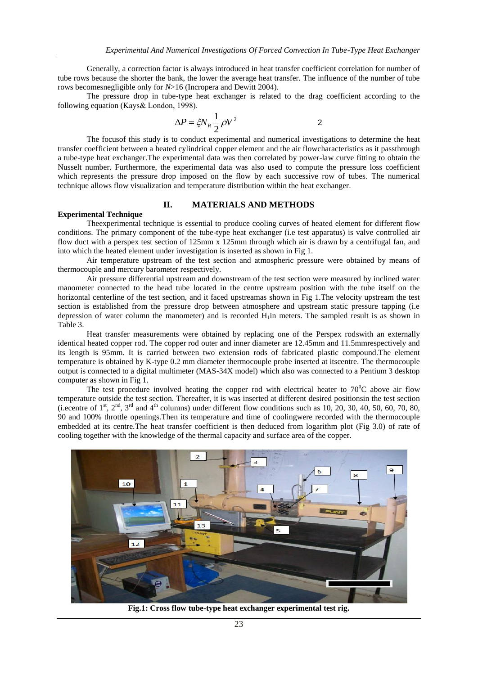Generally, a correction factor is always introduced in heat transfer coefficient correlation for number of tube rows because the shorter the bank, the lower the average heat transfer. The influence of the number of tube rows becomesnegligible only for *N*>16 (Incropera and Dewitt 2004).

The pressure drop in tube-type heat exchanger is related to the drag coefficient according to the following equation (Kays& London, 1998).

$$
\Delta P = \zeta N_R \frac{1}{2} \rho V^2
$$
 2

The focusof this study is to conduct experimental and numerical investigations to determine the heat transfer coefficient between a heated cylindrical copper element and the air flowcharacteristics as it passthrough a tube-type heat exchanger.The experimental data was then correlated by power-law curve fitting to obtain the Nusselt number. Furthermore, the experimental data was also used to compute the pressure loss coefficient which represents the pressure drop imposed on the flow by each successive row of tubes. The numerical technique allows flow visualization and temperature distribution within the heat exchanger.

#### **II. MATERIALS AND METHODS**

# **Experimental Technique**

Theexperimental technique is essential to produce cooling curves of heated element for different flow conditions. The primary component of the tube-type heat exchanger (i.e test apparatus) is valve controlled air flow duct with a perspex test section of 125mm x 125mm through which air is drawn by a centrifugal fan, and into which the heated element under investigation is inserted as shown in Fig 1.

Air temperature upstream of the test section and atmospheric pressure were obtained by means of thermocouple and mercury barometer respectively.

Air pressure differential upstream and downstream of the test section were measured by inclined water manometer connected to the head tube located in the centre upstream position with the tube itself on the horizontal centerline of the test section, and it faced upstreamas shown in Fig 1. The velocity upstream the test section is established from the pressure drop between atmosphere and upstream static pressure tapping (i.e depression of water column the manometer) and is recorded  $H_1$ in meters. The sampled result is as shown in Table 3.

Heat transfer measurements were obtained by replacing one of the Perspex rodswith an externally identical heated copper rod. The copper rod outer and inner diameter are 12.45mm and 11.5mmrespectively and its length is 95mm. It is carried between two extension rods of fabricated plastic compound.The element temperature is obtained by K-type 0.2 mm diameter thermocouple probe inserted at itscentre. The thermocouple output is connected to a digital multimeter (MAS-34X model) which also was connected to a Pentium 3 desktop computer as shown in Fig 1.

The test procedure involved heating the copper rod with electrical heater to  $70^0C$  above air flow temperature outside the test section. Thereafter, it is was inserted at different desired positionsin the test section (i.ecentre of  $1^{\text{st}}$ ,  $2^{\text{nd}}$ ,  $3^{\text{rd}}$  and  $4^{\text{th}}$  columns) under different flow conditions such as 10, 20, 30, 40, 50, 60, 70, 80, 90 and 100% throttle openings.Then its temperature and time of coolingwere recorded with the thermocouple embedded at its centre.The heat transfer coefficient is then deduced from logarithm plot (Fig 3.0) of rate of cooling together with the knowledge of the thermal capacity and surface area of the copper.



**Fig.1: Cross flow tube-type heat exchanger experimental test rig.**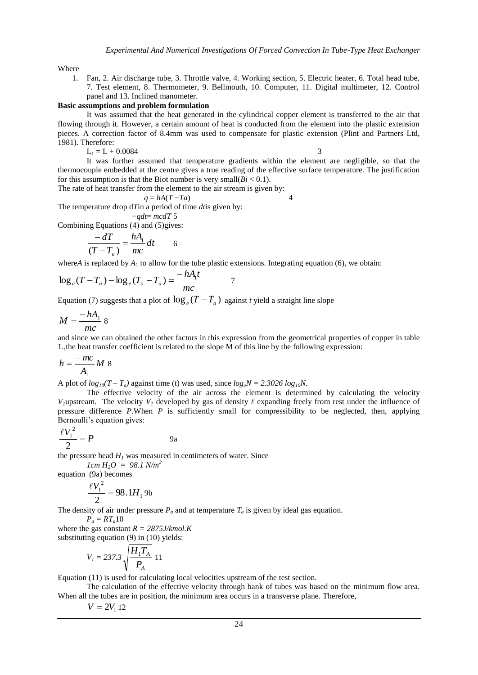Where

1. Fan, 2. Air discharge tube, 3. Throttle valve, 4. Working section, 5. Electric heater, 6. Total head tube, 7. Test element, 8. Thermometer, 9. Bellmouth, 10. Computer, 11. Digital multimeter, 12. Control panel and 13. Inclined manometer.

#### **Basic assumptions and problem formulation**

It was assumed that the heat generated in the cylindrical copper element is transferred to the air that flowing through it. However, a certain amount of heat is conducted from the element into the plastic extension pieces. A correction factor of 8.4mm was used to compensate for plastic extension (Plint and Partners Ltd, 1981). Therefore:

 $L_1 = L + 0.0084$  3

It was further assumed that temperature gradients within the element are negligible, so that the thermocouple embedded at the centre gives a true reading of the effective surface temperature. The justification for this assumption is that the Biot number is very small( $Bi < 0.1$ ).

The rate of heat transfer from the element to the air stream is given by:

$$
q = hA(T - Ta) \tag{4}
$$

The temperature drop d*T*in a period of time *dt*is given by:

$$
-qdt = mcdT
$$
 5

Combining Equations (4) and (5)gives:

$$
\frac{-dT}{(T - T_a)} = \frac{hA_1}{mc} dt \qquad 6
$$

where*A* is replaced by  $A_1$  to allow for the tube plastic extensions. Integrating equation (6), we obtain:

7

$$
\log_e(T - T_a) - \log_e(T_o - T_a) = \frac{-hA_1t}{mc}
$$

Equation (7) suggests that a plot of  $\log_e(T - T_a)$  against *t* yield a straight line slope

$$
M=\frac{-hA_1}{mc}\,8
$$

and since we can obtained the other factors in this expression from the geometrical properties of copper in table 1.,the heat transfer coefficient is related to the slope M of this line by the following expression:

$$
h = \frac{-mc}{A_1}M \, 8
$$

A plot of  $log_{10}(T - T_a)$  against time (t) was used, since  $log_eN = 2.3026 log_{10}N$ .

The effective velocity of the air across the element is determined by calculating the velocity *V*<sub>*I*</sub>upstream. The velocity *V*<sub>*I*</sub> developed by gas of density  $\ell$  expanding freely from rest under the influence of pressure difference *P*.When *P* is sufficiently small for compressibility to be neglected, then, applying Bernoulli's equation gives:

$$
\frac{\ell V_1^2}{2} = P \qquad \qquad 9a
$$

the pressure head  $H<sub>I</sub>$  was measured in centimeters of water. Since

 $1cm H_2O = 98.1 N/m^2$ equation (9a) becomes

$$
\frac{\ell V_1^2}{2} = 98.1 H_1 \text{ 9b}
$$

The density of air under pressure  $P_a$  and at temperature  $T_a$  is given by ideal gas equation.

$$
P_a = RT_a 10
$$

where the gas constant  $R = 2875$ *J/kmol.K* substituting equation (9) in (10) yields:

$$
V_{I} = 237.3 \sqrt{\frac{H_{1}T_{A}}{P_{A}}} \ 11
$$

Equation (11) is used for calculating local velocities upstream of the test section.

The calculation of the effective velocity through bank of tubes was based on the minimum flow area. When all the tubes are in position, the minimum area occurs in a transverse plane. Therefore,

 $V = 2V_1 12$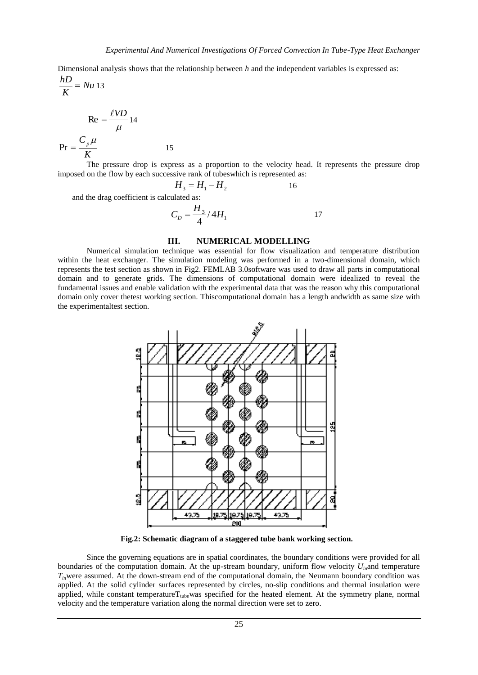Dimensional analysis shows that the relationship between *h* and the independent variables is expressed as:

*Nu K*  $\frac{hD}{\sigma}$  = *Nu* 13

$$
\text{Re} = \frac{\ell V D}{\mu} 14
$$
  
Pr =  $\frac{C_p \mu}{K}$  15

The pressure drop is express as a proportion to the velocity head. It represents the pressure drop imposed on the flow by each successive rank of tubeswhich is represented as:

$$
H_3 = H_1 - H_2 \tag{16}
$$

and the drag coefficient is calculated as:

$$
C_D = \frac{H_3}{4} / 4H_1
$$
 17

# **III. NUMERICAL MODELLING**

Numerical simulation technique was essential for flow visualization and temperature distribution within the heat exchanger. The simulation modeling was performed in a two-dimensional domain, which represents the test section as shown in Fig2. FEMLAB 3.0software was used to draw all parts in computational domain and to generate grids. The dimensions of computational domain were idealized to reveal the fundamental issues and enable validation with the experimental data that was the reason why this computational domain only cover thetest working section. Thiscomputational domain has a length andwidth as same size with the experimentaltest section.



**Fig.2: Schematic diagram of a staggered tube bank working section.**

Since the governing equations are in spatial coordinates, the boundary conditions were provided for all boundaries of the computation domain. At the up-stream boundary, uniform flow velocity *Uin*and temperature *Tin*were assumed. At the down-stream end of the computational domain, the Neumann boundary condition was applied. At the solid cylinder surfaces represented by circles, no-slip conditions and thermal insulation were applied, while constant temperature $T_{\text{tube}}$ was specified for the heated element. At the symmetry plane, normal velocity and the temperature variation along the normal direction were set to zero.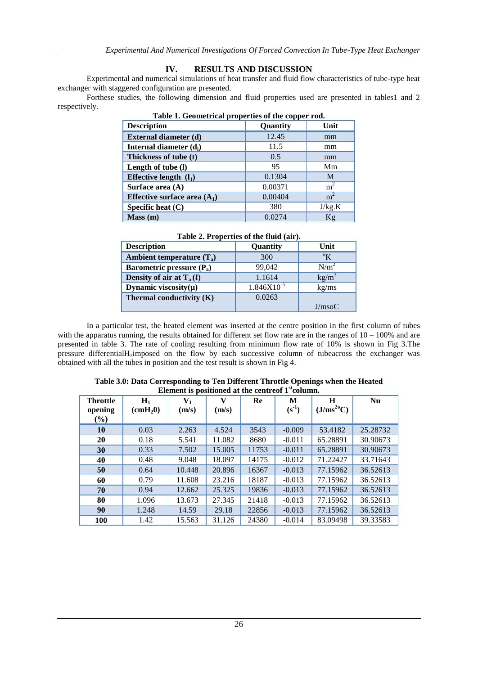# **IV. RESULTS AND DISCUSSION**

Experimental and numerical simulations of heat transfer and fluid flow characteristics of tube-type heat exchanger with staggered configuration are presented.

Forthese studies, the following dimension and fluid properties used are presented in tables1 and 2 respectively.

| <b>Description</b>             | Quantity | Unit           |  |  |
|--------------------------------|----------|----------------|--|--|
| External diameter (d)          | 12.45    | mm             |  |  |
| Internal diameter $(d_i)$      | 11.5     | mm             |  |  |
| Thickness of tube (t)          | 0.5      | mm             |  |  |
| Length of tube (l)             | 95       | Mm             |  |  |
| Effective length $(l_1)$       | 0.1304   | M              |  |  |
| Surface area $(A)$             | 0.00371  | m <sup>2</sup> |  |  |
| Effective surface area $(A_1)$ | 0.00404  | m <sup>2</sup> |  |  |
| Specific heat (C)              | 380      | J/kg.K         |  |  |
| Mass(m)                        | 0.0274   | Кg             |  |  |

| Table 1. Geometrical properties of the copper rod. |  |  |
|----------------------------------------------------|--|--|
|                                                    |  |  |

| Table 2. Properties of the fluid (air). |  |  |
|-----------------------------------------|--|--|
|                                         |  |  |

| <b>Description</b>            | Quantity        | Unit        |
|-------------------------------|-----------------|-------------|
| Ambient temperature $(T_a)$   | 300             | $\rm ^{o}K$ |
| Barometric pressure $(P_a)$   | 99,042          | $N/m^2$     |
| Density of air at $T_a(\ell)$ | 1.1614          | $kg/m^3$    |
| Dynamic viscosity $(\mu)$     | $1.846X10^{-5}$ | kg/ms       |
| Thermal conductivity $(K)$    | 0.0263          |             |
|                               |                 | J/msoC      |

In a particular test, the heated element was inserted at the centre position in the first column of tubes with the apparatus running, the results obtained for different set flow rate are in the ranges of  $10 - 100\%$  and are presented in table 3. The rate of cooling resulting from minimum flow rate of 10% is shown in Fig 3.The pressure differential $H_3$ imposed on the flow by each successive column of tubeacross the exchanger was obtained with all the tubes in position and the test result is shown in Fig 4.

| ERTHEIR IS positioned at the centre cor T condition. |                                 |                         |            |       |              |                             |           |
|------------------------------------------------------|---------------------------------|-------------------------|------------|-------|--------------|-----------------------------|-----------|
| <b>Throttle</b><br>opening<br>$(\%)$                 | $H_1$<br>$\text{cmH}_2\text{O}$ | $\mathbf{V}_1$<br>(m/s) | V<br>(m/s) | Re    | M<br>$(s^1)$ | H<br>(J/ms <sup>20</sup> C) | <b>Nu</b> |
| 10                                                   | 0.03                            | 2.263                   | 4.524      | 3543  | $-0.009$     | 53.4182                     | 25.28732  |
| 20                                                   | 0.18                            | 5.541                   | 11.082     | 8680  | $-0.011$     | 65.28891                    | 30.90673  |
| 30                                                   | 0.33                            | 7.502                   | 15.005     | 11753 | $-0.011$     | 65.28891                    | 30.90673  |
| 40                                                   | 0.48                            | 9.048                   | 18.097     | 14175 | $-0.012$     | 71.22427                    | 33.71643  |
| 50                                                   | 0.64                            | 10.448                  | 20.896     | 16367 | $-0.013$     | 77.15962                    | 36.52613  |
| 60                                                   | 0.79                            | 11.608                  | 23.216     | 18187 | $-0.013$     | 77.15962                    | 36.52613  |
| 70                                                   | 0.94                            | 12.662                  | 25.325     | 19836 | $-0.013$     | 77.15962                    | 36.52613  |
| 80                                                   | 1.096                           | 13.673                  | 27.345     | 21418 | $-0.013$     | 77.15962                    | 36.52613  |
| 90                                                   | 1.248                           | 14.59                   | 29.18      | 22856 | $-0.013$     | 77.15962                    | 36.52613  |
| 100                                                  | 1.42                            | 15.563                  | 31.126     | 24380 | $-0.014$     | 83.09498                    | 39.33583  |

| Table 3.0: Data Corresponding to Ten Different Throttle Openings when the Heated |
|----------------------------------------------------------------------------------|
| Element is positioned at the centreof 1 <sup>st</sup> column.                    |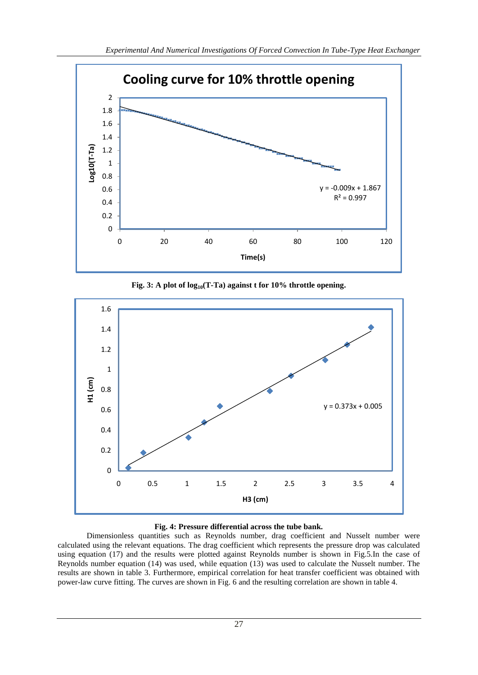

**Fig. 3: A plot of log10(T-Ta) against t for 10% throttle opening.**



# **Fig. 4: Pressure differential across the tube bank.**

Dimensionless quantities such as Reynolds number, drag coefficient and Nusselt number were calculated using the relevant equations. The drag coefficient which represents the pressure drop was calculated using equation (17) and the results were plotted against Reynolds number is shown in Fig.5.In the case of Reynolds number equation (14) was used, while equation (13) was used to calculate the Nusselt number. The results are shown in table 3. Furthermore, empirical correlation for heat transfer coefficient was obtained with power-law curve fitting. The curves are shown in Fig. 6 and the resulting correlation are shown in table 4.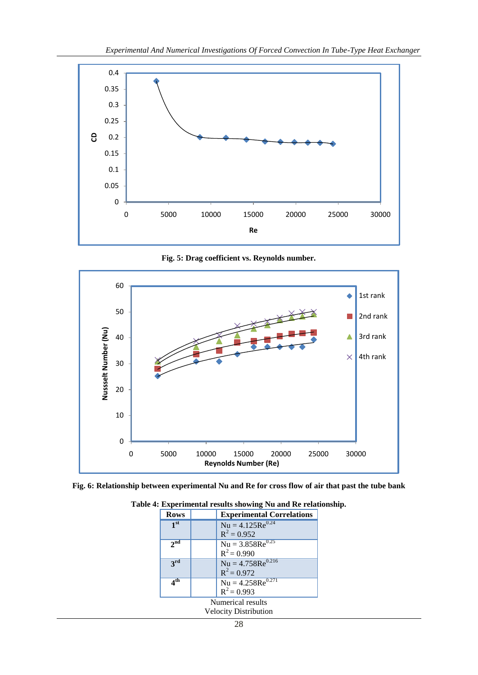

**Fig. 5: Drag coefficient vs. Reynolds number.**



**Fig. 6: Relationship between experimental Nu and Re for cross flow of air that past the tube bank**

| <b>Rows</b>                                       |  | <b>Experimental Correlations</b>                          |  |
|---------------------------------------------------|--|-----------------------------------------------------------|--|
| 1 <sup>st</sup>                                   |  | $Nu = 4.125Re0.24$<br>$R^2 = 0.952$                       |  |
| $2^{\overline{\text{nd}}}$                        |  | $Nu = 3.858Re0.25$<br>$R^2 = 0.990$                       |  |
| 3rd                                               |  | $\overline{Nu} = 4.758\text{Re}^{0.216}$<br>$R^2 = 0.972$ |  |
| 4 <sup>th</sup>                                   |  | $Nu = 4.258Re0.271$<br>$R^2 = 0.993$                      |  |
| Numerical results<br><b>Velocity Distribution</b> |  |                                                           |  |

**Table 4: Experimental results showing Nu and Re relationship.**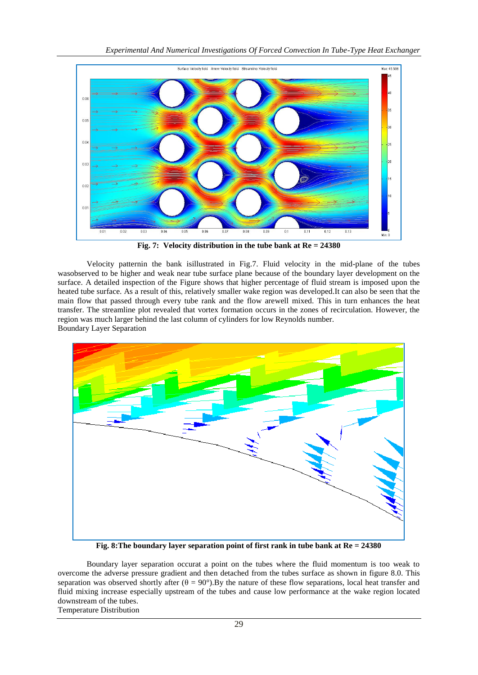

**Fig. 7: Velocity distribution in the tube bank at Re = 24380**

Velocity patternin the bank isillustrated in Fig.7. Fluid velocity in the mid-plane of the tubes wasobserved to be higher and weak near tube surface plane because of the boundary layer development on the surface. A detailed inspection of the Figure shows that higher percentage of fluid stream is imposed upon the heated tube surface. As a result of this, relatively smaller wake region was developed.It can also be seen that the main flow that passed through every tube rank and the flow arewell mixed. This in turn enhances the heat transfer. The streamline plot revealed that vortex formation occurs in the zones of recirculation. However, the region was much larger behind the last column of cylinders for low Reynolds number. Boundary Layer Separation



**Fig. 8:The boundary layer separation point of first rank in tube bank at Re = 24380**

Boundary layer separation occurat a point on the tubes where the fluid momentum is too weak to overcome the adverse pressure gradient and then detached from the tubes surface as shown in figure 8.0. This separation was observed shortly after  $(\theta = 90^{\circ})$ . By the nature of these flow separations, local heat transfer and fluid mixing increase especially upstream of the tubes and cause low performance at the wake region located downstream of the tubes.

Temperature Distribution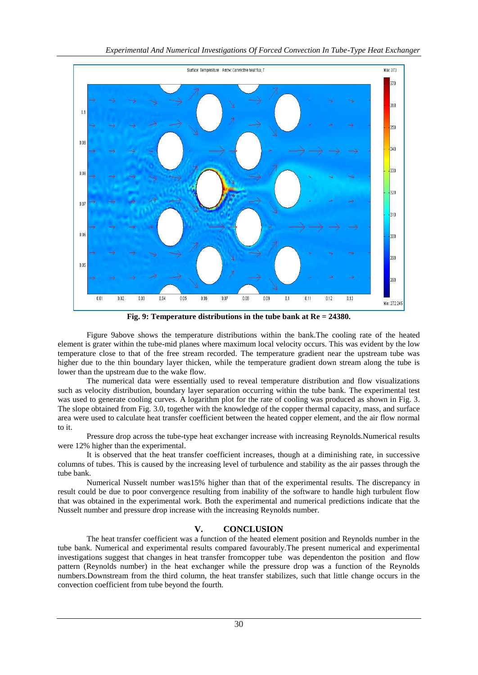

**Fig. 9: Temperature distributions in the tube bank at Re = 24380.**

Figure 9above shows the temperature distributions within the bank.The cooling rate of the heated element is grater within the tube-mid planes where maximum local velocity occurs. This was evident by the low temperature close to that of the free stream recorded. The temperature gradient near the upstream tube was higher due to the thin boundary layer thicken, while the temperature gradient down stream along the tube is lower than the upstream due to the wake flow.

The numerical data were essentially used to reveal temperature distribution and flow visualizations such as velocity distribution, boundary layer separation occurring within the tube bank. The experimental test was used to generate cooling curves. A logarithm plot for the rate of cooling was produced as shown in Fig. 3. The slope obtained from Fig. 3.0, together with the knowledge of the copper thermal capacity, mass, and surface area were used to calculate heat transfer coefficient between the heated copper element, and the air flow normal to it.

Pressure drop across the tube-type heat exchanger increase with increasing Reynolds.Numerical results were 12% higher than the experimental.

It is observed that the heat transfer coefficient increases, though at a diminishing rate, in successive columns of tubes. This is caused by the increasing level of turbulence and stability as the air passes through the tube bank.

Numerical Nusselt number was15% higher than that of the experimental results. The discrepancy in result could be due to poor convergence resulting from inability of the software to handle high turbulent flow that was obtained in the experimental work. Both the experimental and numerical predictions indicate that the Nusselt number and pressure drop increase with the increasing Reynolds number.

# **V. CONCLUSION**

The heat transfer coefficient was a function of the heated element position and Reynolds number in the tube bank. Numerical and experimental results compared favourably.The present numerical and experimental investigations suggest that changes in heat transfer fromcopper tube was dependenton the position and flow pattern (Reynolds number) in the heat exchanger while the pressure drop was a function of the Reynolds numbers.Downstream from the third column, the heat transfer stabilizes, such that little change occurs in the convection coefficient from tube beyond the fourth.